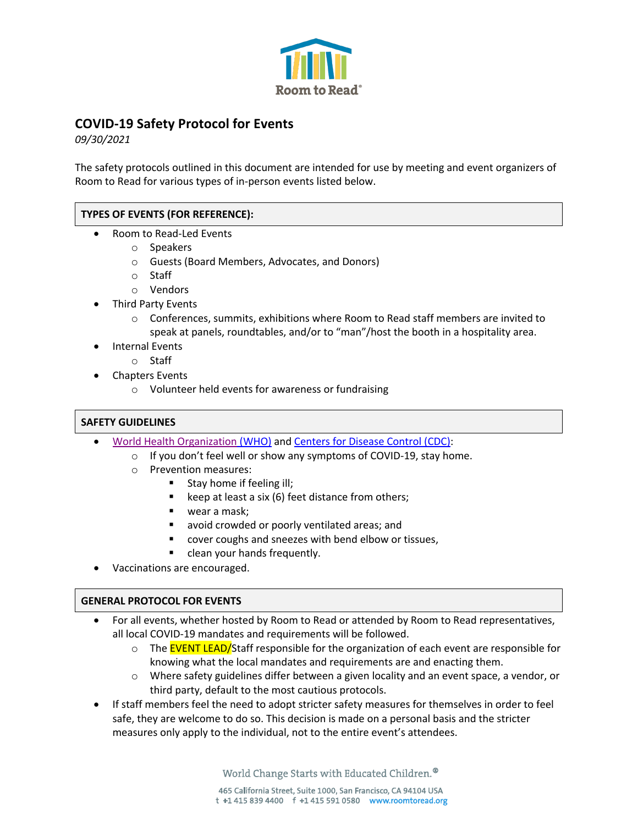

# **COVID-19 Safety Protocol for Events**

*09/30/2021*

The safety protocols outlined in this document are intended for use by meeting and event organizers of Room to Read for various types of in-person events listed below.

## **TYPES OF EVENTS (FOR REFERENCE):**

- Room to Read-Led Events
	- o Speakers
	- o Guests (Board Members, Advocates, and Donors)
	- o Staff
	- o Vendors
- Third Party Events
	- $\circ$  Conferences, summits, exhibitions where Room to Read staff members are invited to speak at panels, roundtables, and/or to "man"/host the booth in a hospitality area.
- Internal Events
	- o Staff
- Chapters Events
	- o Volunteer held events for awareness or fundraising

## **SAFETY GUIDELINES**

- World Health Organization (WHO) and Centers for Disease Control (CDC):
	- o If you don't feel well or show any symptoms of COVID-19, stay home.
	- o Prevention measures:
		- Stay home if feeling ill;
		- keep at least a six (6) feet distance from others;
		- wear a mask;
		- avoid crowded or poorly ventilated areas; and
		- § cover coughs and sneezes with bend elbow or tissues,
		- clean your hands frequently.
- Vaccinations are encouraged.

## **GENERAL PROTOCOL FOR EVENTS**

- For all events, whether hosted by Room to Read or attended by Room to Read representatives, all local COVID-19 mandates and requirements will be followed.
	- o The EVENT LEAD/Staff responsible for the organization of each event are responsible for knowing what the local mandates and requirements are and enacting them.
	- o Where safety guidelines differ between a given locality and an event space, a vendor, or third party, default to the most cautious protocols.
- If staff members feel the need to adopt stricter safety measures for themselves in order to feel safe, they are welcome to do so. This decision is made on a personal basis and the stricter measures only apply to the individual, not to the entire event's attendees.

World Change Starts with Educated Children.<sup>®</sup>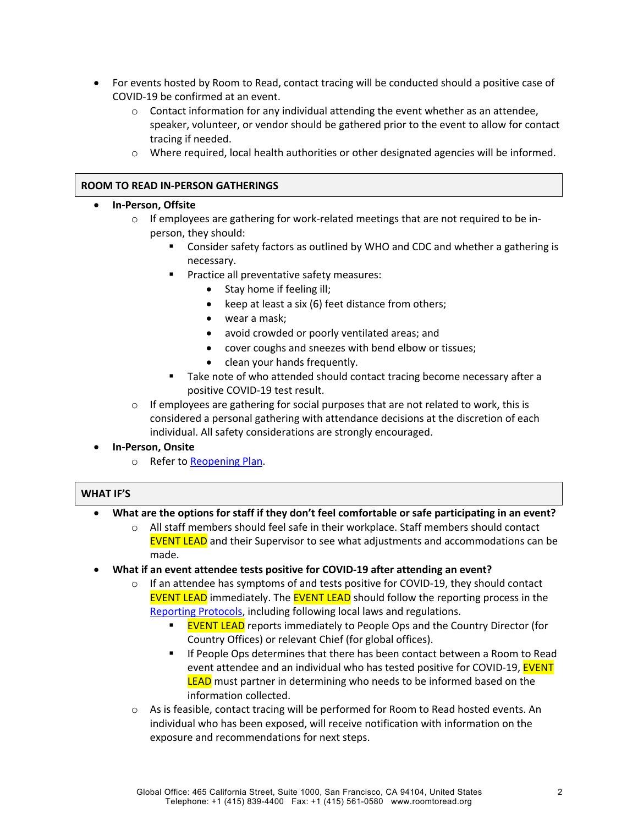- For events hosted by Room to Read, contact tracing will be conducted should a positive case of COVID-19 be confirmed at an event.
	- $\circ$  Contact information for any individual attending the event whether as an attendee, speaker, volunteer, or vendor should be gathered prior to the event to allow for contact tracing if needed.
	- o Where required, local health authorities or other designated agencies will be informed.

## **ROOM TO READ IN-PERSON GATHERINGS**

## • **In-Person, Offsite**

- $\circ$  If employees are gathering for work-related meetings that are not required to be inperson, they should:
	- § Consider safety factors as outlined by WHO and CDC and whether a gathering is necessary.
	- § Practice all preventative safety measures:
		- Stay home if feeling ill;
		- keep at least a six (6) feet distance from others;
		- wear a mask;
		- avoid crowded or poorly ventilated areas; and
		- cover coughs and sneezes with bend elbow or tissues;
		- clean your hands frequently.
	- Take note of who attended should contact tracing become necessary after a positive COVID-19 test result.
- $\circ$  If employees are gathering for social purposes that are not related to work, this is considered a personal gathering with attendance decisions at the discretion of each individual. All safety considerations are strongly encouraged.
- **In-Person, Onsite**
	- o Refer to Reopening Plan.

## **WHAT IF'S**

- **What are the options for staff if they don't feel comfortable or safe participating in an event?**
	- $\circ$  All staff members should feel safe in their workplace. Staff members should contact EVENT LEAD and their Supervisor to see what adjustments and accommodations can be made.
- **What if an event attendee tests positive for COVID-19 after attending an event?**
	- $\circ$  If an attendee has symptoms of and tests positive for COVID-19, they should contact **EVENT LEAD** immediately. The **EVENT LEAD** should follow the reporting process in the Reporting Protocols, including following local laws and regulations.
		- **EVENT LEAD** reports immediately to People Ops and the Country Director (for Country Offices) or relevant Chief (for global offices).
		- If People Ops determines that there has been contact between a Room to Read event attendee and an individual who has tested positive for COVID-19, EVENT LEAD must partner in determining who needs to be informed based on the information collected.
	- o As is feasible, contact tracing will be performed for Room to Read hosted events. An individual who has been exposed, will receive notification with information on the exposure and recommendations for next steps.